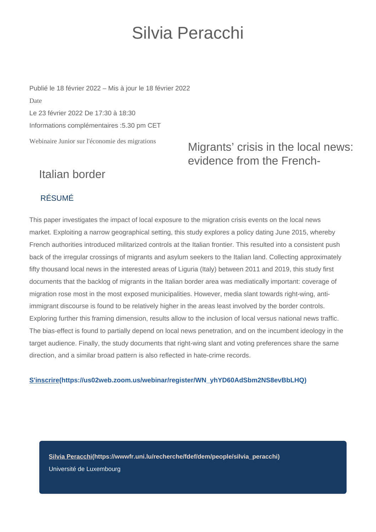# Silvia Peracchi

Webinaire Junior sur l'économie des migrations Publié le 18 février 2022 – Mis à jour le 18 février 2022 Date Le 23 février 2022 De 17:30 à 18:30 Informations complémentaires :5.30 pm CET

## Migrants' crisis in the local news: evidence from the French-

## Italian border

#### RÉSUMÉ

This paper investigates the impact of local exposure to the migration crisis events on the local news market. Exploiting a narrow geographical setting, this study explores a policy dating June 2015, whereby French authorities introduced militarized controls at the Italian frontier. This resulted into a consistent push back of the irregular crossings of migrants and asylum seekers to the Italian land. Collecting approximately fifty thousand local news in the interested areas of Liguria (Italy) between 2011 and 2019, this study first documents that the backlog of migrants in the Italian border area was mediatically important: coverage of migration rose most in the most exposed municipalities. However, media slant towards right-wing, antiimmigrant discourse is found to be relatively higher in the areas least involved by the border controls. Exploring further this framing dimension, results allow to the inclusion of local versus national news traffic. The bias-effect is found to partially depend on local news penetration, and on the incumbent ideology in the target audience. Finally, the study documents that right-wing slant and voting preferences share the same direction, and a similar broad pattern is also reflected in hate-crime records.

#### **[S'inscrire\(https://us02web.zoom.us/webinar/register/WN\\_yhYD60AdSbm2NS8evBbLHQ\)](https://us02web.zoom.us/webinar/register/WN_yhYD60AdSbm2NS8evBbLHQ)**

**[Silvia Peracchi\(https://wwwfr.uni.lu/recherche/fdef/dem/people/silvia\\_peracchi\)](https://wwwfr.uni.lu/recherche/fdef/dem/people/silvia_peracchi)** Université de Luxembourg